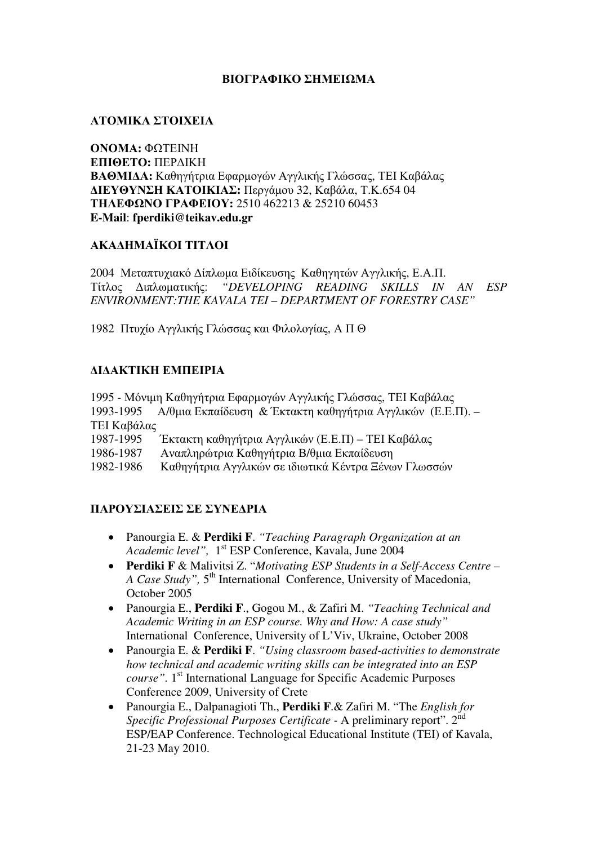## ΒΙΟΓΡΑΦΙΚΟ ΣΗΜΕΙΩΜΑ

### ΑΤΟΜΙΚΑ ΣΤΟΙΧΕΙΑ

ΟΝΟΜΑ**:** ΦΩΤΕΙΝΗ ΕΠΙΘΕΤΟ**:** ΠΕΡ∆ΙΚΗ ΒΑΘΜΙ∆Α**:** Καθηγήτρια Εφαρµογών Αγγλικής Γλώσσας, ΤΕΙ Καβάλας ∆ΙΕΥΘΥΝΣΗ ΚΑΤΟΙΚΙΑΣ**:** Περγάµου 32, Καβάλα, Τ.Κ.654 04 ΤΗΛΕΦΩΝΟ ΓΡΑΦΕΙΟΥ**:** 2510 462213 & 25210 60453 **E-Mail**: **fperdiki@teikav.edu.gr**

#### ΑΚΑ∆ΗΜΑΪΚΟΙ ΤΙΤΛΟΙ

2004 Μεταπτυχιακό ∆ίπλωµα Ειδίκευσης Καθηγητών Αγγλικής, Ε.Α.Π. Τίτλος ∆ιπλωµατικής: *"DEVELOPING READING SKILLS IN AN ESP ENVIRONMENT:THE KAVALA TEI – DEPARTMENT OF FORESTRY CASE"*

1982 Πτυχίο Αγγλικής Γλώσσας και Φιλολογίας, Α Π Θ

## ∆Ι∆ΑΚΤΙΚΗ ΕΜΠΕΙΡΙΑ

1995 - Μόνιµη Καθηγήτρια Εφαρµογών Αγγλικής Γλώσσας, ΤΕΙ Καβάλας 1993-1995 Α/θµια Εκπαίδευση & Έκτακτη καθηγήτρια Αγγλικών (Ε.Ε.Π). – ΤΕΙ Καβάλας 1987-1995 Έκτακτη καθηγήτρια Αγγλικών (Ε.Ε.Π) – ΤΕΙ Καβάλας

1986-1987 Αναπληρώτρια Καθηγήτρια Β/θµια Εκπαίδευση

1982-1986 Καθηγήτρια Αγγλικών σε ιδιωτικά Κέντρα Ξένων Γλωσσών

# ΠΑΡΟΥΣΙΑΣΕΙΣ ΣΕ ΣΥΝΕ∆ΡΙΑ

- Panourgia E. & **Perdiki F**. *"Teaching Paragraph Organization at an Academic level",* 1 st ESP Conference, Kavala, June 2004
- **Perdiki F** & Malivitsi Z. "*Motivating ESP Students in a Self-Access Centre –* A Case Study", 5<sup>th</sup> International Conference, University of Macedonia, October 2005
- Panourgia E., **Perdiki F**., Gogou M., & Zafiri M. *"Teaching Technical and Academic Writing in an ESP course. Why and How: A case study"* International Conference, University of L'Viv, Ukraine, October 2008
- Panourgia E. & **Perdiki F**. *"Using classroom based-activities to demonstrate how technical and academic writing skills can be integrated into an ESP*  course". 1<sup>st</sup> International Language for Specific Academic Purposes Conference 2009, University of Crete
- Panourgia E., Dalpanagioti Th., **Perdiki F**.& Zafiri M. "The *English for Specific Professional Purposes Certificate -* A preliminary report". 2nd ESP/EAP Conference. Technological Educational Institute (TEI) of Kavala, 21-23 May 2010.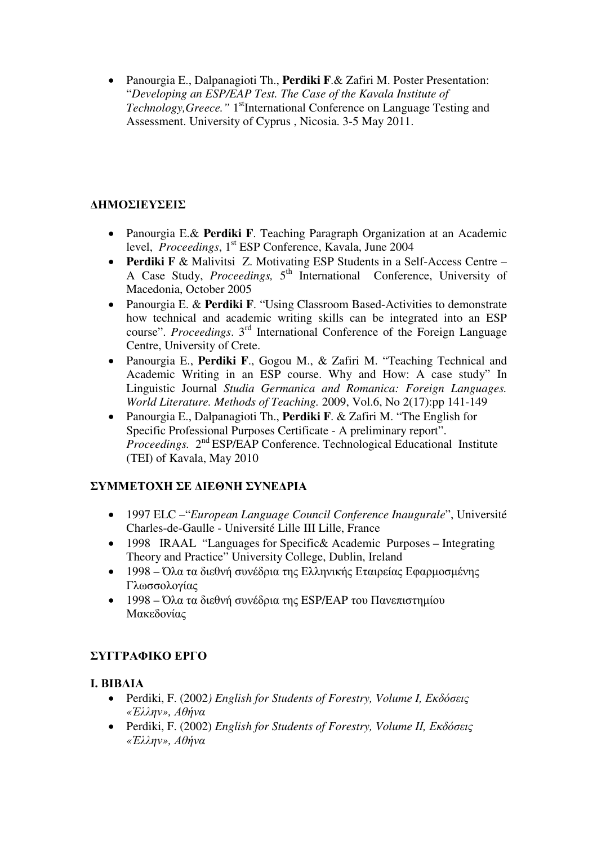• Panourgia E., Dalpanagioti Th., **Perdiki F**.& Zafiri M. Poster Presentation: "*Developing an ESP/EAP Test. The Case of the Kavala Institute of Technology, Greece.*" 1<sup>st</sup>International Conference on Language Testing and Assessment. University of Cyprus , Nicosia. 3-5 May 2011.

# ∆ΗΜΟΣΙΕΥΣΕΙΣ

- Panourgia E.& **Perdiki F**. Teaching Paragraph Organization at an Academic level, *Proceedings*, 1<sup>st</sup> ESP Conference, Kavala, June 2004
- **Perdiki F** & Malivitsi Z. Motivating ESP Students in a Self-Access Centre A Case Study, Proceedings, 5<sup>th</sup> International Conference, University of Macedonia, October 2005
- Panourgia E. & **Perdiki F**. "Using Classroom Based-Activities to demonstrate how technical and academic writing skills can be integrated into an ESP course". *Proceedings*. 3rd International Conference of the Foreign Language Centre, University of Crete.
- Panourgia E., **Perdiki F**., Gogou M., & Zafiri M. "Teaching Technical and Academic Writing in an ESP course. Why and How: A case study" In Linguistic Journal *Studia Germanica and Romanica: Foreign Languages. World Literature. Methods of Teaching.* 2009, Vol.6, No 2(17):pp 141-149
- Panourgia E., Dalpanagioti Th., **Perdiki F**. & Zafiri M. "The English for Specific Professional Purposes Certificate - A preliminary report". *Proceedings.* 2nd ESP/EAP Conference. Technological Educational Institute (TEI) of Kavala, May 2010

# ΣΥΜΜΕΤΟΧΗ ΣΕ ∆ΙΕΘΝΗ ΣΥΝΕ∆ΡΙΑ

- 1997 ELC –"*European Language Council Conference Inaugurale*", Université Charles-de-Gaulle - Université Lille III Lille, France
- 1998 IRAAL "Languages for Specific& Academic Purposes Integrating Theory and Practice" University College, Dublin, Ireland
- 1998 Όλα τα διεθνή συνέδρια της Ελληνικής Εταιρείας Εφαρµοσµένης Γλωσσολογίας
- 1998 Όλα τα διεθνή συνέδρια της ESP/EAP του Πανεπιστηµίου Μακεδονίας

# ΣΥΓΓΡΑΦΙΚΟ ΕΡΓΟ

#### Ι**.** ΒΙΒΛΙΑ

- Perdiki, F. (2002*) English for Students of Forestry, Volume I,* Εκδόσεις *«*Έλλην*»,* Αθήνα
- Perdiki, F. (2002) *English for Students of Forestry, Volume I*Ι*,* Εκδόσεις *«*Έλλην*»,* Αθήνα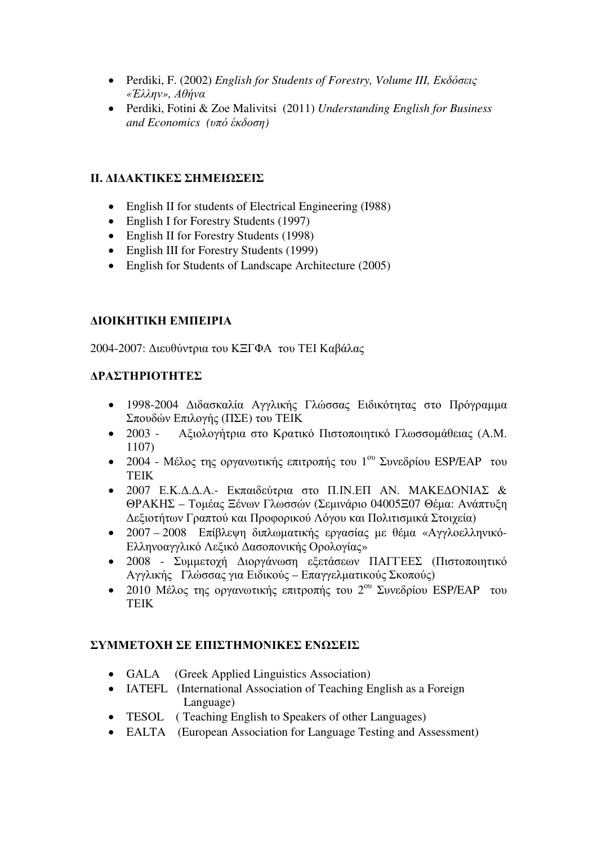- Perdiki, F. (2002) *English for Students of Forestry, Volume III,* Εκδόσεις *«*Έλλην*»,* Αθήνα
- Perdiki, Fotini & Zoe Malivitsi (2011) *Understanding English for Business and Economics (*υπό έκδοση*)*

## ΙΙ**.** ∆Ι∆ΑΚΤΙΚΕΣ ΣΗΜΕΙΩΣΕΙΣ

- English II for students of Electrical Engineering (1988)
- English I for Forestry Students (1997)
- English II for Forestry Students (1998)
- English III for Forestry Students (1999)
- English for Students of Landscape Architecture (2005)

#### ∆ΙΟΙΚΗΤΙΚΗ ΕΜΠΕΙΡΙΑ

2004-2007: ∆ιευθύντρια του ΚΞΓΦΑ του ΤΕΙ Καβάλας

## ∆ΡΑΣΤΗΡΙΟΤΗΤΕΣ

- 1998-2004 ∆ιδασκαλία Αγγλικής Γλώσσας Ειδικότητας στο Πρόγραµµα Σπουδών Επιλογής (ΠΣΕ) του ΤΕΙΚ
- 2003 Αξιολογήτρια στο Κρατικό Πιστοποιητικό Γλωσσοµάθειας (Α.Μ. 1107)
- 2004 Μέλος της οργανωτικής επιτροπής του  $1^{\text{ov}}$  Συνεδρίου ESP/EAP του ΤΕΙΚ
- 2007 Ε.Κ.∆.∆.Α.- Εκπαιδεύτρια στο Π.ΙΝ.ΕΠ ΑΝ. ΜΑΚΕ∆ΟΝΙΑΣ & ΘΡΑΚΗΣ – Τοµέας Ξένων Γλωσσών (Σεµινάριο 04005Ξ07 Θέµα: Ανάπτυξη ∆εξιοτήτων Γραπτού και Προφορικού Λόγου και Πολιτισµικά Στοιχεία)
- 2007 2008 Επίβλεψη διπλωµατικής εργασίας µε θέµα «Αγγλοελληνικό-Ελληνοαγγλικό Λεξικό ∆ασοπονικής Ορολογίας»
- 2008 Συµµετοχή ∆ιοργάνωση εξετάσεων ΠΑΓΓΕΕΣ (Πιστοποιητικό Αγγλικής Γλώσσας για Ειδικούς – Επαγγελµατικούς Σκοπούς)
- 2010 Μέλος της οργανωτικής επιτροπής του  $2^{\text{ov}}$  Συνεδρίου ESP/EAP του ΤΕΙΚ

#### ΣΥΜΜΕΤΟΧΗ ΣΕ ΕΠΙΣΤΗΜΟΝΙΚΕΣ ΕΝΩΣΕΙΣ

- GALA (Greek Applied Linguistics Association)
- IATEFL (International Association of Teaching English as a Foreign Language)
- TESOL (Teaching English to Speakers of other Languages)
- EALTA (European Association for Language Testing and Assessment)